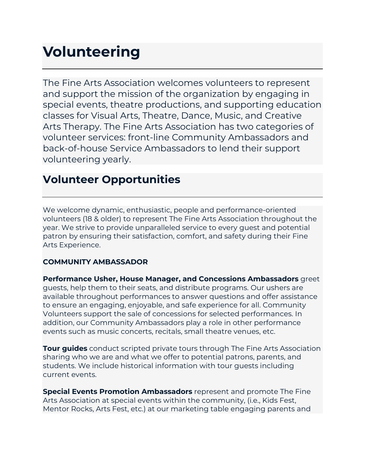## **Volunteering**

The Fine Arts Association welcomes volunteers to represent and support the mission of the organization by engaging in special events, theatre productions, and supporting education classes for Visual Arts, Theatre, Dance, Music, and Creative Arts Therapy. The Fine Arts Association has two categories of volunteer services: front-line Community Ambassadors and back-of-house Service Ambassadors to lend their support volunteering yearly.

## **Volunteer Opportunities**

We welcome dynamic, enthusiastic, people and performance-oriented volunteers (18 & older) to represent The Fine Arts Association throughout the year. We strive to provide unparalleled service to every guest and potential patron by ensuring their satisfaction, comfort, and safety during their Fine Arts Experience.

## **COMMUNITY AMBASSADOR**

**Performance Usher, House Manager, and Concessions Ambassadors** greet guests, help them to their seats, and distribute programs. Our ushers are available throughout performances to answer questions and offer assistance to ensure an engaging, enjoyable, and safe experience for all. Community Volunteers support the sale of concessions for selected performances. In addition, our Community Ambassadors play a role in other performance events such as music concerts, recitals, small theatre venues, etc.

**Tour guides** conduct scripted private tours through The Fine Arts Association sharing who we are and what we offer to potential patrons, parents, and students. We include historical information with tour guests including current events.

**Special Events Promotion Ambassadors** represent and promote The Fine Arts Association at special events within the community, (i.e., Kids Fest, Mentor Rocks, Arts Fest, etc.) at our marketing table engaging parents and